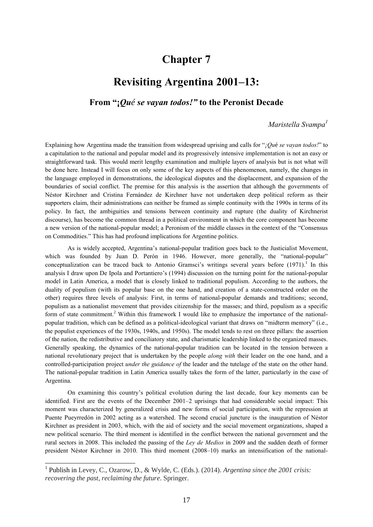# **Chapter 7**

# **Revisiting Argentina 2001–13:**

### **From "¡***Qué se vayan todos!"* **to the Peronist Decade**

#### *Maristella Svampa<sup>1</sup>*

Explaining how Argentina made the transition from widespread uprising and calls for "*¡Qu*é *se vayan todos!*" to a capitulation to the national and popular model and its progressively intensive implementation is not an easy or straightforward task. This would merit lengthy examination and multiple layers of analysis but is not what will be done here. Instead I will focus on only some of the key aspects of this phenomenon, namely, the changes in the language employed in demonstrations, the ideological disputes and the displacement, and expansion of the boundaries of social conflict. The premise for this analysis is the assertion that although the governments of Néstor Kirchner and Cristina Fernández de Kirchner have not undertaken deep political reform as their supporters claim, their administrations can neither be framed as simple continuity with the 1990s in terms of its policy. In fact, the ambiguities and tensions between continuity and rupture (the duality of Kirchnerist discourse), has become the common thread in a political environment in which the core component has become a new version of the national-popular model; a Peronism of the middle classes in the context of the "Consensus on Commodities." This has had profound implications for Argentine politics.

As is widely accepted, Argentina's national-popular tradition goes back to the Justicialist Movement, which was founded by Juan D. Perón in 1946. However, more generally, the "national-popular" conceptualization can be traced back to Antonio Gramsci's writings several years before (1971).<sup>1</sup> In this analysis I draw upon De Ipola and Portantiero's (1994) discussion on the turning point for the national-popular model in Latin America, a model that is closely linked to traditional populism. According to the authors, the duality of populism (with its popular base on the one hand, and creation of a state-constructed order on the other) requires three levels of analysis: First, in terms of national-popular demands and traditions; second, populism as a nationalist movement that provides citizenship for the masses; and third, populism as a specific form of state commitment.<sup>2</sup> Within this framework I would like to emphasize the importance of the nationalpopular tradition, which can be defined as a political-ideological variant that draws on "midterm memory" (i.e., the populist experiences of the 1930s, 1940s, and 1950s). The model tends to rest on three pillars: the assertion of the nation, the redistributive and conciliatory state, and charismatic leadership linked to the organized masses. Generally speaking, the dynamics of the national-popular tradition can be located in the tension between a national revolutionary project that is undertaken by the people *along with* their leader on the one hand, and a controlled-participation project *under the guidance of* the leader and the tutelage of the state on the other hand. The national-popular tradition in Latin America usually takes the form of the latter, particularly in the case of Argentina.

On examining this country's political evolution during the last decade, four key moments can be identified. First are the events of the December 2001–2 uprisings that had considerable social impact: This moment was characterized by generalized crisis and new forms of social participation, with the repression at Puente Pueyrredón in 2002 acting as a watershed. The second crucial juncture is the inauguration of Néstor Kirchner as president in 2003, which, with the aid of society and the social movement organizations, shaped a new political scenario. The third moment is identified in the conflict between the national government and the rural sectors in 2008. This included the passing of the *Ley de Medios* in 2009 and the sudden death of former president Néstor Kirchner in 2010. This third moment (2008–10) marks an intensification of the national-

-

<sup>1</sup> Publish in Levey, C., Ozarow, D., & Wylde, C. (Eds.). (2014). *Argentina since the 2001 crisis: recovering the past, reclaiming the future*. Springer.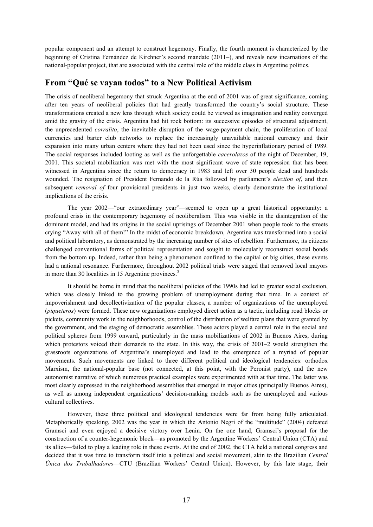popular component and an attempt to construct hegemony. Finally, the fourth moment is characterized by the beginning of Cristina Fernández de Kirchner's second mandate (2011–), and reveals new incarnations of the national-popular project, that are associated with the central role of the middle class in Argentine politics.

### **From "Qué se vayan todos" to a New Political Activism**

The crisis of neoliberal hegemony that struck Argentina at the end of 2001 was of great significance, coming after ten years of neoliberal policies that had greatly transformed the country's social structure. These transformations created a new lens through which society could be viewed as imagination and reality converged amid the gravity of the crisis. Argentina had hit rock bottom: its successive episodes of structural adjustment, the unprecedented *corralito*, the inevitable disruption of the wage-payment chain, the proliferation of local currencies and barter club networks to replace the increasingly unavailable national currency and their expansion into many urban centers where they had not been used since the hyperinflationary period of 1989. The social responses included looting as well as the unforgettable *cacerolazos* of the night of December, 19, 2001. This societal mobilization was met with the most significant wave of state repression that has been witnessed in Argentina since the return to democracy in 1983 and left over 30 people dead and hundreds wounded. The resignation of President Fernando de la Rúa followed by parliament's *election of*, and then subsequent *removal* of four provisional presidents in just two weeks, clearly demonstrate the institutional implications of the crisis.

The year 2002—"our extraordinary year"—seemed to open up a great historical opportunity: a profound crisis in the contemporary hegemony of neoliberalism. This was visible in the disintegration of the dominant model, and had its origins in the social uprisings of December 2001 when people took to the streets crying "Away with all of them!" In the midst of economic breakdown, Argentina was transformed into a social and political laboratory, as demonstrated by the increasing number of sites of rebellion. Furthermore, its citizens challenged conventional forms of political representation and sought to molecularly reconstruct social bonds from the bottom up. Indeed, rather than being a phenomenon confined to the capital or big cities, these events had a national resonance. Furthermore, throughout 2002 political trials were staged that removed local mayors in more than 30 localities in 15 Argentine provinces.<sup>3</sup>

It should be borne in mind that the neoliberal policies of the 1990s had led to greater social exclusion, which was closely linked to the growing problem of unemployment during that time. In a context of impoverishment and decollectivization of the popular classes, a number of organizations of the unemployed (*piqueteros*) were formed. These new organizations employed direct action as a tactic, including road blocks or pickets, community work in the neighborhoods, control of the distribution of welfare plans that were granted by the government, and the staging of democratic assemblies. These actors played a central role in the social and political spheres from 1999 onward, particularly in the mass mobilizations of 2002 in Buenos Aires, during which protestors voiced their demands to the state. In this way, the crisis of 2001–2 would strengthen the grassroots organizations of Argentina's unemployed and lead to the emergence of a myriad of popular movements. Such movements are linked to three different political and ideological tendencies: orthodox Marxism, the national-popular base (not connected, at this point, with the Peronist party), and the new autonomist narrative of which numerous practical examples were experimented with at that time. The latter was most clearly expressed in the neighborhood assemblies that emerged in major cities (principally Buenos Aires), as well as among independent organizations' decision-making models such as the unemployed and various cultural collectives.

However, these three political and ideological tendencies were far from being fully articulated. Metaphorically speaking, 2002 was the year in which the Antonio Negri of the "multitude" (2004) defeated Gramsci and even enjoyed a decisive victory over Lenin. On the one hand, Gramsci's proposal for the construction of a counter-hegemonic block—as promoted by the Argentine Workers' Central Union (CTA) and its allies—failed to play a leading role in these events. At the end of 2002, the CTA held a national congress and decided that it was time to transform itself into a political and social movement, akin to the Brazilian *Central Única dos Trabalhadores*—CTU (Brazilian Workers' Central Union). However, by this late stage, their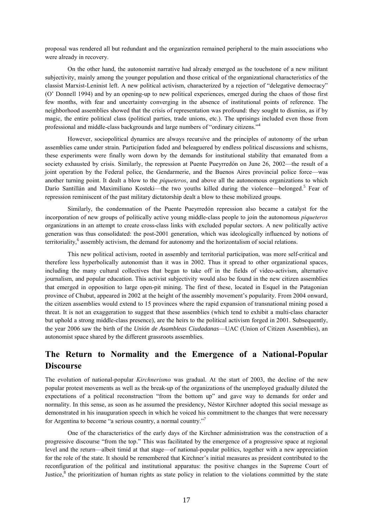proposal was rendered all but redundant and the organization remained peripheral to the main associations who were already in recovery.

On the other hand, the autonomist narrative had already emerged as the touchstone of a new militant subjectivity, mainly among the younger population and those critical of the organizational characteristics of the classist Marxist-Leninist left. A new political activism, characterized by a rejection of "delegative democracy" (O' Donnell 1994) and by an opening-up to new political experiences, emerged during the chaos of those first few months, with fear and uncertainty converging in the absence of institutional points of reference. The neighborhood assemblies showed that the crisis of representation was profound: they sought to dismiss, as if by magic, the entire political class (political parties, trade unions, etc.). The uprisings included even those from professional and middle-class backgrounds and large numbers of "ordinary citizens."<sup>4</sup>

However, sociopolitical dynamics are always recursive and the principles of autonomy of the urban assemblies came under strain. Participation faded and beleaguered by endless political discussions and schisms, these experiments were finally worn down by the demands for institutional stability that emanated from a society exhausted by crisis. Similarly, the repression at Puente Pueyrredón on June 26, 2002—the result of a joint operation by the Federal police, the Gendarmerie, and the Buenos Aires provincial police force—was another turning point. It dealt a blow to the *piqueteros*, and above all the autonomous organizations to which Darío Santillán and Maximiliano Kosteki—the two youths killed during the violence—belonged.<sup>5</sup> Fear of repression reminiscent of the past military dictatorship dealt a blow to these mobilized groups.

Similarly, the condemnation of the Puente Pueyrredón repression also became a catalyst for the incorporation of new groups of politically active young middle-class people to join the autonomous *piqueteros* organizations in an attempt to create cross-class links with excluded popular sectors. A new politically active generation was thus consolidated: the post-2001 generation, which was ideologically influenced by notions of territoriality,<sup>6</sup> assembly activism, the demand for autonomy and the horizontalism of social relations.

This new political activism, rooted in assembly and territorial participation, was more self-critical and therefore less hyperbolically autonomist than it was in 2002. Thus it spread to other organizational spaces, including the many cultural collectives that began to take off in the fields of video-activism, alternative journalism, and popular education. This activist subjectivity would also be found in the new citizen assemblies that emerged in opposition to large open-pit mining. The first of these, located in Esquel in the Patagonian province of Chubut, appeared in 2002 at the height of the assembly movement's popularity. From 2004 onward, the citizen assemblies would extend to 15 provinces where the rapid expansion of transnational mining posed a threat. It is not an exaggeration to suggest that these assemblies (which tend to exhibit a multi-class character but uphold a strong middle-class presence), are the heirs to the political activism forged in 2001. Subsequently, the year 2006 saw the birth of the *Unión de Asambleas Ciudadanas*—UAC (Union of Citizen Assemblies), an autonomist space shared by the different grassroots assemblies.

# **The Return to Normality and the Emergence of a National-Popular Discourse**

The evolution of national-popular *Kirchnerismo* was gradual. At the start of 2003, the decline of the new popular protest movements as well as the break-up of the organizations of the unemployed gradually diluted the expectations of a political reconstruction "from the bottom up" and gave way to demands for order and normality. In this sense, as soon as he assumed the presidency, Néstor Kirchner adopted this social message as demonstrated in his inauguration speech in which he voiced his commitment to the changes that were necessary for Argentina to become "a serious country, a normal country."

One of the characteristics of the early days of the Kirchner administration was the construction of a progressive discourse "from the top." This was facilitated by the emergence of a progressive space at regional level and the return—albeit timid at that stage—of national-popular politics, together with a new appreciation for the role of the state. It should be remembered that Kirchner's initial measures as president contributed to the reconfiguration of the political and institutional apparatus: the positive changes in the Supreme Court of Justice,<sup>8</sup> the prioritization of human rights as state policy in relation to the violations committed by the state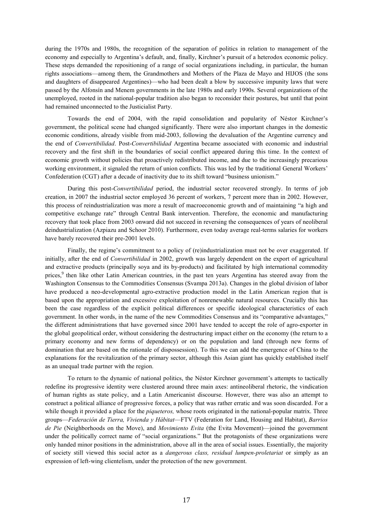during the 1970s and 1980s, the recognition of the separation of politics in relation to management of the economy and especially to Argentina's default, and, finally, Kirchner's pursuit of a heterodox economic policy. These steps demanded the repositioning of a range of social organizations including, in particular, the human rights associations—among them, the Grandmothers and Mothers of the Plaza de Mayo and HIJOS (the sons and daughters of disappeared Argentines)—who had been dealt a blow by successive impunity laws that were passed by the Alfonsín and Menem governments in the late 1980s and early 1990s. Several organizations of the unemployed, rooted in the national-popular tradition also began to reconsider their postures, but until that point had remained unconnected to the Justicialist Party.

Towards the end of 2004, with the rapid consolidation and popularity of Néstor Kirchner's government, the political scene had changed significantly. There were also important changes in the domestic economic conditions, already visible from mid-2003, following the devaluation of the Argentine currency and the end of *Convertibilidad*. Post-*Convertibilidad* Argentina became associated with economic and industrial recovery and the first shift in the boundaries of social conflict appeared during this time. In the context of economic growth without policies that proactively redistributed income, and due to the increasingly precarious working environment, it signaled the return of union conflicts. This was led by the traditional General Workers' Confederation (CGT) after a decade of inactivity due to its shift toward "business unionism."

During this post-*Convertibilidad* period, the industrial sector recovered strongly. In terms of job creation, in 2007 the industrial sector employed 36 percent of workers, 7 percent more than in 2002. However, this process of reindustrialization was more a result of macroeconomic growth and of maintaining "a high and competitive exchange rate" through Central Bank intervention. Therefore, the economic and manufacturing recovery that took place from 2003 onward did not succeed in reversing the consequences of years of neoliberal deindustrialization (Azpiazu and Schoor 2010). Furthermore, even today average real-terms salaries for workers have barely recovered their pre-2001 levels.

Finally, the regime's commitment to a policy of (re)industrialization must not be over exaggerated. If initially, after the end of *Convertibilidad* in 2002, growth was largely dependent on the export of agricultural and extractive products (principally soya and its by-products) and facilitated by high international commodity prices,<sup>9</sup> then like other Latin American countries, in the past ten years Argentina has steered away from the Washington Consensus to the Commodities Consensus (Svampa 2013a). Changes in the global division of labor have produced a neo-developmental agro-extractive production model in the Latin American region that is based upon the appropriation and excessive exploitation of nonrenewable natural resources. Crucially this has been the case regardless of the explicit political differences or specific ideological characteristics of each government. In other words, in the name of the new Commodities Consensus and its "comparative advantages," the different administrations that have governed since 2001 have tended to accept the role of agro-exporter in the global geopolitical order, without considering the destructuring impact either on the economy (the return to a primary economy and new forms of dependency) or on the population and land (through new forms of domination that are based on the rationale of dispossession). To this we can add the emergence of China to the explanations for the revitalization of the primary sector, although this Asian giant has quickly established itself as an unequal trade partner with the region.

To return to the dynamic of national politics, the Néstor Kirchner government's attempts to tactically redefine its progressive identity were clustered around three main axes: antineoliberal rhetoric, the vindication of human rights as state policy, and a Latin Americanist discourse. However, there was also an attempt to construct a political alliance of progressive forces, a policy that was rather erratic and was soon discarded. For a while though it provided a place for the *piqueteros*, whose roots originated in the national-popular matrix. Three groups—*Federación de Tierra, Vivienda y Hábitat*—FTV (Federation for Land, Housing and Habitat), *Barrios de Pie* (Neighborhoods on the Move), and *Movimiento Evita* (the Evita Movement)—joined the government under the politically correct name of "social organizations." But the protagonists of these organizations were only handed minor positions in the administration, above all in the area of social issues. Essentially, the majority of society still viewed this social actor as a *dangerous class, residual lumpen-proletariat* or simply as an expression of left-wing clientelism, under the protection of the new government.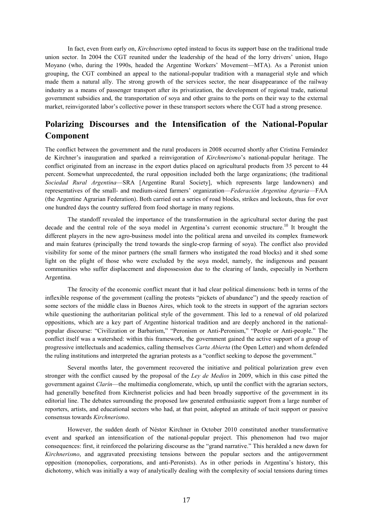In fact, even from early on, *Kirchnerismo* opted instead to focus its support base on the traditional trade union sector. In 2004 the CGT reunited under the leadership of the head of the lorry drivers' union, Hugo Moyano (who, during the 1990s, headed the Argentine Workers' Movement—MTA). As a Peronist union grouping, the CGT combined an appeal to the national-popular tradition with a managerial style and which made them a natural ally. The strong growth of the services sector, the near disappearance of the railway industry as a means of passenger transport after its privatization, the development of regional trade, national government subsidies and, the transportation of soya and other grains to the ports on their way to the external market, reinvigorated labor's collective power in these transport sectors where the CGT had a strong presence.

# **Polarizing Discourses and the Intensification of the National-Popular Component**

The conflict between the government and the rural producers in 2008 occurred shortly after Cristina Fernández de Kirchner's inauguration and sparked a reinvigoration of *Kirchnerismo*'s national-popular heritage. The conflict originated from an increase in the export duties placed on agricultural products from 35 percent to 44 percent. Somewhat unprecedented, the rural opposition included both the large organizations; (the traditional *Sociedad Rural Argentina*—SRA [Argentine Rural Society], which represents large landowners) and representatives of the small- and medium-sized farmers' organization—*Federación Argentina Agraria*—FAA (the Argentine Agrarian Federation). Both carried out a series of road blocks, strikes and lockouts, thus for over one hundred days the country suffered from food shortage in many regions.

The standoff revealed the importance of the transformation in the agricultural sector during the past decade and the central role of the soya model in Argentina's current economic structure.<sup>10</sup> It brought the different players in the new agro-business model into the political arena and unveiled its complex framework and main features (principally the trend towards the single-crop farming of soya). The conflict also provided visibility for some of the minor partners (the small farmers who instigated the road blocks) and it shed some light on the plight of those who were excluded by the soya model, namely, the indigenous and peasant communities who suffer displacement and dispossession due to the clearing of lands, especially in Northern Argentina.

The ferocity of the economic conflict meant that it had clear political dimensions: both in terms of the inflexible response of the government (calling the protests "pickets of abundance") and the speedy reaction of some sectors of the middle class in Buenos Aires, which took to the streets in support of the agrarian sectors while questioning the authoritarian political style of the government. This led to a renewal of old polarized oppositions, which are a key part of Argentine historical tradition and are deeply anchored in the nationalpopular discourse: "Civilization or Barbarism," "Peronism or Anti-Peronism," "People or Anti-people." The conflict itself was a watershed: within this framework, the government gained the active support of a group of progressive intellectuals and academics, calling themselves *Carta Abierta* (the Open Letter) and whom defended the ruling institutions and interpreted the agrarian protests as a "conflict seeking to depose the government."

Several months later, the government recovered the initiative and political polarization grew even stronger with the conflict caused by the proposal of the *Ley de Medios* in 2009, which in this case pitted the government against *Clarín*—the multimedia conglomerate, which, up until the conflict with the agrarian sectors, had generally benefited from Kirchnerist policies and had been broadly supportive of the government in its editorial line. The debates surrounding the proposed law generated enthusiastic support from a large number of reporters, artists, and educational sectors who had, at that point, adopted an attitude of tacit support or passive consensus towards *Kirchnerismo*.

However, the sudden death of Néstor Kirchner in October 2010 constituted another transformative event and sparked an intensification of the national-popular project. This phenomenon had two major consequences: first, it reinforced the polarizing discourse as the "grand narrative." This heralded a new dawn for *Kirchnerismo*, and aggravated preexisting tensions between the popular sectors and the antigovernment opposition (monopolies, corporations, and anti-Peronists). As in other periods in Argentina's history, this dichotomy, which was initially a way of analytically dealing with the complexity of social tensions during times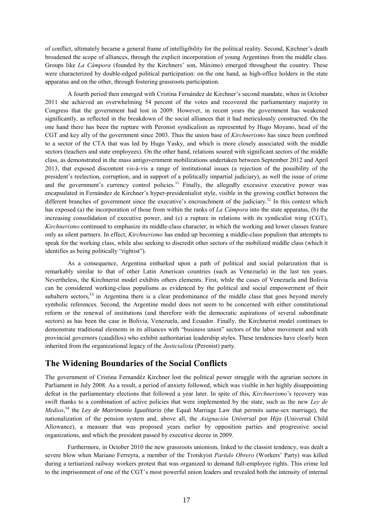of conflict, ultimately became a general frame of intelligibility for the political reality. Second, Kirchner's death broadened the scope of alliances, through the explicit incorporation of young Argentines from the middle class. Groups like *La Cámpora* (founded by the Kirchners' son, Máximo) emerged throughout the country. These were characterized by double-edged political participation: on the one hand, as high-office holders in the state apparatus and on the other, through fostering grassroots participation.

A fourth period then emerged with Cristina Fernández de Kirchner's second mandate, when in October 2011 she achieved an overwhelming 54 percent of the votes and recovered the parliamentary majority in Congress that the government had lost in 2009. However, in recent years the government has weakened significantly, as reflected in the breakdown of the social alliances that it had meticulously constructed. On the one hand there has been the rupture with Peronist syndicalism as represented by Hugo Moyano, head of the CGT and key ally of the government since 2003. Thus the union base of *Kirchnerismo* has since been confined to a sector of the CTA that was led by Hugo Yasky, and which is more closely associated with the middle sectors (teachers and state employees). On the other hand, relations soured with significant sectors of the middle class, as demonstrated in the mass antigovernment mobilizations undertaken between September 2012 and April 2013, that exposed discontent vis-à-vis a range of institutional issues (a rejection of the possibility of the president's reelection, corruption, and in support of a politically impartial judiciary), as well the issue of crime and the government's currency control policies.<sup>11</sup> Finally, the allegedly excessive executive power was encapsulated in Fernández de Kirchner's hyper-presidentialist style, visible in the growing conflict between the different branches of government since the executive's encroachment of the judiciary.<sup>12</sup> In this context which has exposed (a) the incorporation of those from within the ranks of *La Cámpora* into the state apparatus, (b) the increasing consolidation of executive power, and (c) a rupture in relations with its syndicalist wing (CGT), *Kirchnerismo* continued to emphasize its middle-class character, in which the working and lower classes feature only as silent partners. In effect, *Kirchnerismo* has ended up becoming a middle-class populism that attempts to speak for the working class, while also seeking to discredit other sectors of the mobilized middle class (which it identifies as being politically "rightist").

As a consequence, Argentina embarked upon a path of political and social polarization that is remarkably similar to that of other Latin American countries (such as Venezuela) in the last ten years. Nevertheless, the Kirchnerist model exhibits others elements. First, while the cases of Venezuela and Bolivia can be considered working-class populisms as evidenced by the political and social empowerment of their subaltern sectors,<sup>13</sup> in Argentina there is a clear predominance of the middle class that goes beyond merely symbolic references. Second, the Argentine model does not seem to be concerned with either constitutional reform or the renewal of institutions (and therefore with the democratic aspirations of several subordinate sectors) as has been the case in Bolivia, Venezuela, and Ecuador. Finally, the Kirchnerist model continues to demonstrate traditional elements in its alliances with "business union" sectors of the labor movement and with provincial governors (caudillos) who exhibit authoritarian leadership styles. These tendencies have clearly been inherited from the organizational legacy of the *Justicialista* (Peronist) party.

## **The Widening Boundaries of the Social Conflicts**

The government of Cristina Fernandéz Kirchner lost the political power struggle with the agrarian sectors in Parliament in July 2008. As a result, a period of anxiety followed, which was visible in her highly disappointing defeat in the parliamentary elections that followed a year later. In spite of this, *Kirchnerismo*'s recovery was swift thanks to a combination of active policies that were implemented by the state, such as the new *Ley de Medios*, <sup>14</sup> the *Ley de Matrimonio Igualitario* (the Equal Marriage Law that permits same-sex marriage), the nationalization of the pension system and, above all, the *Asignación Universal* por *Hijo* (Universal Child Allowance), a measure that was proposed years earlier by opposition parties and progressive social organizations, and which the president passed by executive decree in 2009.

Furthermore, in October 2010 the new grassroots unionism, linked to the classist tendency, was dealt a severe blow when Mariano Ferreyra, a member of the Trotskyist *Partido Obrero* (Workers' Party) was killed during a tertiarized railway workers protest that was organized to demand full-employee rights. This crime led to the imprisonment of one of the CGT's most powerful union leaders and revealed both the intensity of internal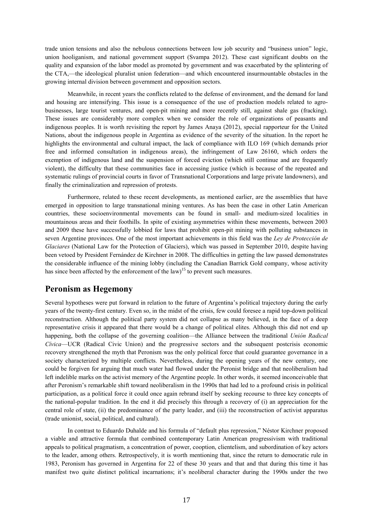trade union tensions and also the nebulous connections between low job security and "business union" logic, union hooliganism, and national government support (Svampa 2012). These cast significant doubts on the quality and expansion of the labor model as promoted by government and was exacerbated by the splintering of the CTA,—the ideological pluralist union federation—and which encountered insurmountable obstacles in the growing internal division between government and opposition sectors.

Meanwhile, in recent years the conflicts related to the defense of environment, and the demand for land and housing are intensifying. This issue is a consequence of the use of production models related to agrobusinesses, large tourist ventures, and open-pit mining and more recently still, against shale gas (fracking). These issues are considerably more complex when we consider the role of organizations of peasants and indigenous peoples. It is worth revisiting the report by James Anaya (2012), special rapporteur for the United Nations, about the indigenous people in Argentina as evidence of the severity of the situation. In the report he highlights the environmental and cultural impact, the lack of compliance with ILO 169 (which demands prior free and informed consultation in indigenous areas), the infringement of Law 26160, which orders the exemption of indigenous land and the suspension of forced eviction (which still continue and are frequently violent), the difficulty that these communities face in accessing justice (which is because of the repeated and systematic rulings of provincial courts in favor of Transnational Corporations and large private landowners), and finally the criminalization and repression of protests.

Furthermore, related to these recent developments, as mentioned earlier, are the assemblies that have emerged in opposition to large transnational mining ventures. As has been the case in other Latin American countries, these socioenvironmental movements can be found in small- and medium-sized localities in mountainous areas and their foothills. In spite of existing asymmetries within these movements, between 2003 and 2009 these have successfully lobbied for laws that prohibit open-pit mining with polluting substances in seven Argentine provinces. One of the most important achievements in this field was the *Ley de Protección de Glaciares* (National Law for the Protection of Glaciers), which was passed in September 2010, despite having been vetoed by President Fernández de Kirchner in 2008. The difficulties in getting the law passed demonstrates the considerable influence of the mining lobby (including the Canadian Barrick Gold company, whose activity has since been affected by the enforcement of the  $law$ <sup>15</sup> to prevent such measures.

#### **Peronism as Hegemony**

Several hypotheses were put forward in relation to the future of Argentina's political trajectory during the early years of the twenty-first century. Even so, in the midst of the crisis, few could foresee a rapid top-down political reconstruction. Although the political party system did not collapse as many believed, in the face of a deep representative crisis it appeared that there would be a change of political elites. Although this did not end up happening, both the collapse of the governing coalition—the Alliance between the traditional *Unión Radical Cívica*—UCR (Radical Civic Union) and the progressive sectors and the subsequent postcrisis economic recovery strengthened the myth that Peronism was the only political force that could guarantee governance in a society characterized by multiple conflicts. Nevertheless, during the opening years of the new century, one could be forgiven for arguing that much water had flowed under the Peronist bridge and that neoliberalism had left indelible marks on the activist memory of the Argentine people. In other words, it seemed inconceivable that after Peronism's remarkable shift toward neoliberalism in the 1990s that had led to a profound crisis in political participation, as a political force it could once again rebrand itself by seeking recourse to three key concepts of the national-popular tradition. In the end it did precisely this through a recovery of (i) an appreciation for the central role of state, (ii) the predominance of the party leader, and (iii) the reconstruction of activist apparatus (trade unionist, social, political, and cultural).

In contrast to Eduardo Duhalde and his formula of "default plus repression," Néstor Kirchner proposed a viable and attractive formula that combined contemporary Latin American progressivism with traditional appeals to political pragmatism, a concentration of power, cooption, clientelism, and subordination of key actors to the leader, among others. Retrospectively, it is worth mentioning that, since the return to democratic rule in 1983, Peronism has governed in Argentina for 22 of these 30 years and that and that during this time it has manifest two quite distinct political incarnations; it's neoliberal character during the 1990s under the two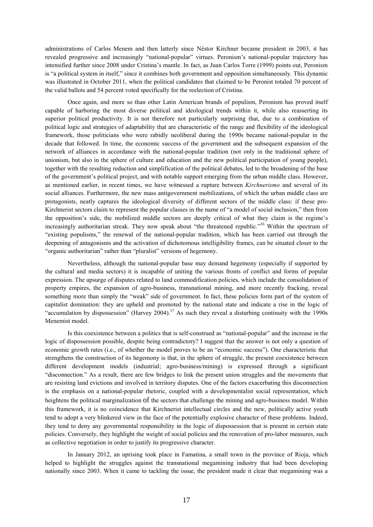administrations of Carlos Menem and then latterly since Néstor Kirchner became president in 2003, it has revealed progressive and increasingly "national-popular" virtues. Peronism's national-popular trajectory has intensified further since 2008 under Cristina's mantle. In fact, as Juan Carlos Torre (1999) points out, Peronism is "a political system in itself," since it combines both government and opposition simultaneously. This dynamic was illustrated in October 2011, when the political candidates that claimed to be Peronist totaled 70 percent of the valid ballots and 54 percent voted specifically for the reelection of Cristina.

Once again, and more so than other Latin American brands of populism, Peronism has proved itself capable of harboring the most diverse political and ideological trends within it, while also reasserting its superior political productivity. It is not therefore not particularly surprising that, due to a combination of political logic and strategies of adaptability that are characteristic of the range and flexibility of the ideological framework, those politicians who were rabidly neoliberal during the 1990s became national-popular in the decade that followed. In time, the economic success of the government and the subsequent expansion of the network of alliances in accordance with the national-popular tradition (not only in the traditional sphere of unionism, but also in the sphere of culture and education and the new political participation of young people), together with the resulting reduction and simplification of the political debates, led to the broadening of the base of the government's political project, and with notable support emerging from the urban middle class. However, as mentioned earlier, in recent times, we have witnessed a rupture between *Kirchnerismo* and several of its social alliances. Furthermore, the new mass antigovernment mobilizations, of which the urban middle class are protagonists, neatly captures the ideological diversity of different sectors of the middle class: if these pro-Kirchnerist sectors claim to represent the popular classes in the name of "a model of social inclusion," then from the opposition's side, the mobilized middle sectors are deeply critical of what they claim is the regime's increasingly authoritarian streak. They now speak about "the threatened republic."<sup>16</sup> Within the spectrum of "existing populisms," the renewal of the national-popular tradition, which has been carried out through the deepening of antagonisms and the activation of dichotomous intelligibility frames, can be situated closer to the "organic authoritarian" rather than "pluralist" versions of hegemony.

Nevertheless, although the national-popular base may demand hegemony (especially if supported by the cultural and media sectors) it is incapable of uniting the various fronts of conflict and forms of popular expression. The upsurge of disputes related to land commodification policies, which include the consolidation of property empires, the expansion of agro-business, transnational mining, and more recently fracking, reveal something more than simply the "weak" side of government. In fact, these policies form part of the system of capitalist domination: they are upheld and promoted by the national state and indicate a rise in the logic of "accumulation by dispossession" (Harvey 2004).<sup>17</sup> As such they reveal a disturbing continuity with the 1990s Menemist model.

Is this coexistence between a politics that is self-construed as "national-popular" and the increase in the logic of dispossession possible, despite being contradictory? I suggest that the answer is not only a question of economic growth rates (i.e., of whether the model proves to be an "economic success"). One characteristic that strengthens the construction of its hegemony is that, in the sphere of struggle, the present coexistence between different development models (industrial; agro-business/mining) is expressed through a significant "disconnection." As a result, there are few bridges to link the present union struggles and the movements that are resisting land evictions and involved in territory disputes. One of the factors exacerbating this disconnection is the emphasis on a national-popular rhetoric, coupled with a developmentalist social representation, which heightens the political marginalization of the sectors that challenge the mining and agro-business model. Within this framework, it is no coincidence that Kirchnerist intellectual circles and the new, politically active youth tend to adopt a very blinkered view in the face of the potentially explosive character of these problems. Indeed, they tend to deny any governmental responsibility in the logic of dispossession that is present in certain state policies. Conversely, they highlight the weight of social policies and the renovation of pro-labor measures, such as collective negotiation in order to justify its progressive character.

In January 2012, an uprising took place in Famatina, a small town in the province of Rioja, which helped to highlight the struggles against the transnational megamining industry that had been developing nationally since 2003. When it came to tackling the issue, the president made it clear that megamining was a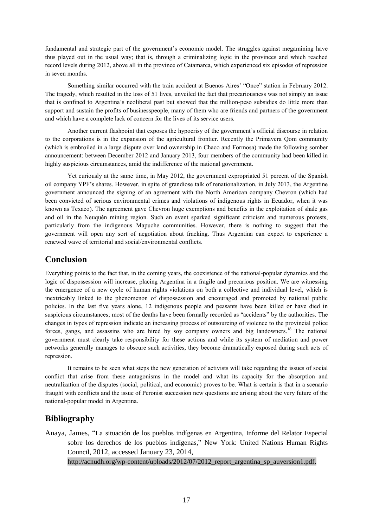fundamental and strategic part of the government's economic model. The struggles against megamining have thus played out in the usual way; that is, through a criminalizing logic in the provinces and which reached record levels during 2012, above all in the province of Catamarca, which experienced six episodes of repression in seven months.

Something similar occurred with the train accident at Buenos Aires' "Once" station in February 2012. The tragedy, which resulted in the loss of 51 lives, unveiled the fact that precariousness was not simply an issue that is confined to Argentina's neoliberal past but showed that the million-peso subsidies do little more than support and sustain the profits of businesspeople, many of them who are friends and partners of the government and which have a complete lack of concern for the lives of its service users.

Another current flashpoint that exposes the hypocrisy of the government's official discourse in relation to the corporations is in the expansion of the agricultural frontier. Recently the Primavera Qom community (which is embroiled in a large dispute over land ownership in Chaco and Formosa) made the following somber announcement: between December 2012 and January 2013, four members of the community had been killed in highly suspicious circumstances, amid the indifference of the national government.

Yet curiously at the same time, in May 2012, the government expropriated 51 percent of the Spanish oil company YPF's shares. However, in spite of grandiose talk of renationalization, in July 2013, the Argentine government announced the signing of an agreement with the North American company Chevron (which had been convicted of serious environmental crimes and violations of indigenous rights in Ecuador, when it was known as Texaco). The agreement gave Chevron huge exemptions and benefits in the exploitation of shale gas and oil in the Neuquén mining region. Such an event sparked significant criticism and numerous protests, particularly from the indigenous Mapuche communities. However, there is nothing to suggest that the government will open any sort of negotiation about fracking. Thus Argentina can expect to experience a renewed wave of territorial and social/environmental conflicts.

### **Conclusion**

Everything points to the fact that, in the coming years, the coexistence of the national-popular dynamics and the logic of dispossession will increase, placing Argentina in a fragile and precarious position. We are witnessing the emergence of a new cycle of human rights violations on both a collective and individual level, which is inextricably linked to the phenomenon of dispossession and encouraged and promoted by national public policies. In the last five years alone, 12 indigenous people and peasants have been killed or have died in suspicious circumstances; most of the deaths have been formally recorded as "accidents" by the authorities. The changes in types of repression indicate an increasing process of outsourcing of violence to the provincial police forces, gangs, and assassins who are hired by soy company owners and big landowners.<sup>18</sup> The national government must clearly take responsibility for these actions and while its system of mediation and power networks generally manages to obscure such activities, they become dramatically exposed during such acts of repression.

It remains to be seen what steps the new generation of activists will take regarding the issues of social conflict that arise from these antagonisms in the model and what its capacity for the absorption and neutralization of the disputes (social, political, and economic) proves to be. What is certain is that in a scenario fraught with conflicts and the issue of Peronist succession new questions are arising about the very future of the national-popular model in Argentina.

## **Bibliography**

Anaya, James, "La situación de los pueblos indígenas en Argentina, Informe del Relator Especial sobre los derechos de los pueblos indígenas," New York: United Nations Human Rights Council, 2012, accessed January 23, 2014,

http://acnudh.org/wp-content/uploads/2012/07/2012\_report\_argentina\_sp\_auversion1.pdf.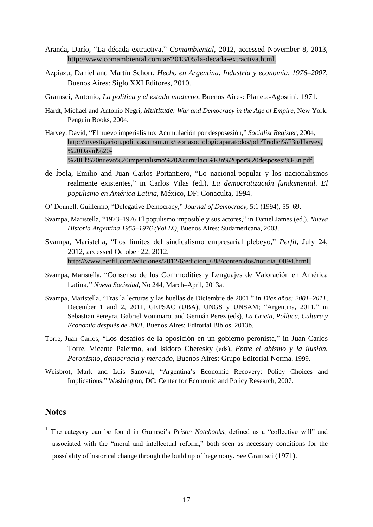- Aranda, Darío, "La década extractiva," *Comambiental,* 2012, accessed November 8, 2013, http://www.comambiental.com.ar/2013/05/la-decada-extractiva.html.
- Azpiazu, Daniel and Martín Schorr, *Hecho en Argentina. Industria y economía, 1976–2007*, Buenos Aires: Siglo XXI Editores, 2010.
- Gramsci, Antonio, *La política y el estado moderno*, Buenos Aires: Planeta-Agostini, 1971.
- Hardt, Michael and Antonio Negri, *Multitude: War and Democracy in the Age of Empire*, New York: Penguin Books, 2004.
- Harvey, David, "El nuevo imperialismo: Acumulación por desposesión," *Socialist Register,* 2004, http://investigacion.politicas.unam.mx/teoriasociologicaparatodos/pdf/Tradici%F3n/Harvey, %20David%20-

%20El%20nuevo%20imperialismo%20Acumulaci%F3n%20por%20desposesi%F3n.pdf.

- de Ípola, Emilio and Juan Carlos Portantiero, "Lo nacional-popular y los nacionalismos realmente existentes," in Carlos Vilas (ed.), *La democratización fundamental. El populismo en América Latina,* México, DF: Conaculta, 1994.
- O' Donnell, Guillermo, "Delegative Democracy," *Journal of Democracy*, 5:1 (1994), 55–69.
- Svampa, Maristella, "1973–1976 El populismo imposible y sus actores," in Daniel James (ed.), *Nueva Historia Argentina 1955–1976 (Vol IX),* Buenos Aires: Sudamericana, 2003.
- Svampa, Maristella, "Los límites del sindicalismo empresarial plebeyo," *Perfil,* July 24, 2012, accessed October 22, 2012,

http://www.perfil.com/ediciones/2012/6/edicion\_688/contenidos/noticia\_0094.html.

- Svampa, Maristella, "Consenso de los Commodities y Lenguajes de Valoración en América Latina," *Nueva Sociedad,* No 244, March–April, 2013a.
- Svampa, Maristella, "Tras la lecturas y las huellas de Diciembre de 2001," in *Diez años: 2001–2011*, December 1 and 2, 2011, GEPSAC (UBA), UNGS y UNSAM; "Argentina, 2011," in Sebastian Pereyra, Gabriel Vommaro, and Germán Perez (eds), *La Grieta, Política, Cultura y Economía después de 2001,* Buenos Aires: Editorial Biblos, 2013b.
- Torre, Juan Carlos, "Los desafíos de la oposición en un gobierno peronista," in Juan Carlos Torre, Vicente Palermo, and Isidoro Cheresky (eds), *Entre el abismo y la ilusión. Peronismo, democracia y mercado*, Buenos Aires: Grupo Editorial Norma, 1999.
- Weisbrot, Mark and Luis Sanoval, "Argentina's Economic Recovery: Policy Choices and Implications," Washington, DC: Center for Economic and Policy Research, 2007.

#### **Notes**

-

<sup>&</sup>lt;sup>1</sup> The category can be found in Gramsci's *Prison Notebooks*, defined as a "collective will" and associated with the "moral and intellectual reform," both seen as necessary conditions for the possibility of historical change through the build up of hegemony. See Gramsci (1971).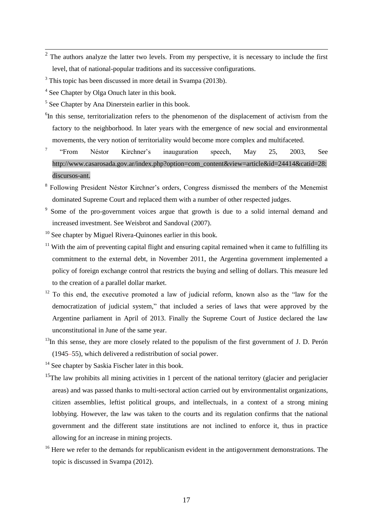- <sup>2</sup> The authors analyze the latter two levels. From my perspective, it is necessary to include the first level, that of national-popular traditions and its successive configurations.
- <sup>3</sup> This topic has been discussed in more detail in Svampa (2013b).

<sup>4</sup> See Chapter by Olga Onuch later in this book.

<sup>5</sup> See Chapter by Ana Dinerstein earlier in this book.

- <sup>6</sup>In this sense, territorialization refers to the phenomenon of the displacement of activism from the factory to the neighborhood. In later years with the emergence of new social and environmental movements, the very notion of territoriality would become more complex and multifaceted.
- 7 "From Néstor Kirchner's inauguration speech, May 25, 2003, See http://www.casarosada.gov.ar/index.php?option=com\_content&view=article&id=24414&catid=28: discursos-ant.
- <sup>8</sup> Following President Néstor Kirchner's orders, Congress dismissed the members of the Menemist dominated Supreme Court and replaced them with a number of other respected judges.
- <sup>9</sup> Some of the pro-government voices argue that growth is due to a solid internal demand and increased investment. See Weisbrot and Sandoval (2007).
- $10$  See chapter by Miguel Rivera-Ouinones earlier in this book.
- $11$  With the aim of preventing capital flight and ensuring capital remained when it came to fulfilling its commitment to the external debt, in November 2011, the Argentina government implemented a policy of foreign exchange control that restricts the buying and selling of dollars. This measure led to the creation of a parallel dollar market.
- <sup>12</sup> To this end, the executive promoted a law of judicial reform, known also as the "law for the democratization of judicial system," that included a series of laws that were approved by the Argentine parliament in April of 2013. Finally the Supreme Court of Justice declared the law unconstitutional in June of the same year.
- $13$ In this sense, they are more closely related to the populism of the first government of J. D. Perón (1945–55), which delivered a redistribution of social power.
- <sup>14</sup> See chapter by Saskia Fischer later in this book.
- <sup>15</sup>The law prohibits all mining activities in 1 percent of the national territory (glacier and periglacier areas) and was passed thanks to multi-sectoral action carried out by environmentalist organizations, citizen assemblies, leftist political groups, and intellectuals, in a context of a strong mining lobbying. However, the law was taken to the courts and its regulation confirms that the national government and the different state institutions are not inclined to enforce it, thus in practice allowing for an increase in mining projects.
- <sup>16</sup> Here we refer to the demands for republicanism evident in the antigovernment demonstrations. The topic is discussed in Svampa (2012).